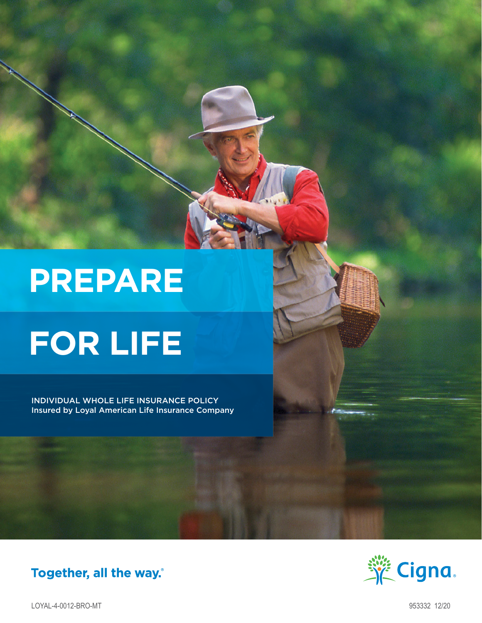# **PREPARE**

# **FOR LIFE**

INDIVIDUAL WHOLE LIFE INSURANCE POLICY Insured by Loyal American Life Insurance Company

## Together, all the way.



LOYAL-4-0012-BRO-MT 953332 12/20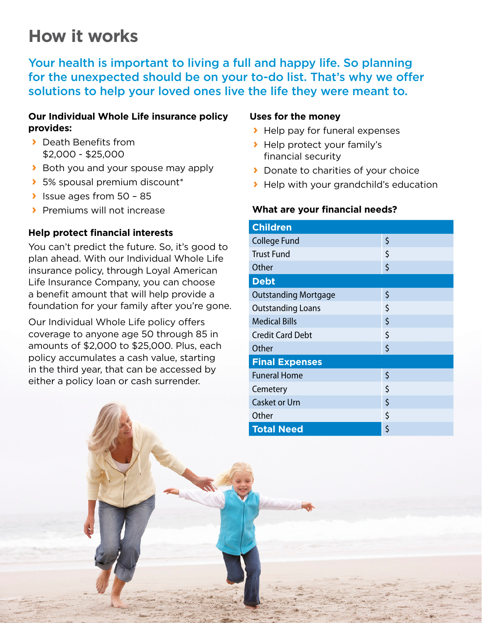## **How it works**

Your health is important to living a full and happy life. So planning for the unexpected should be on your to-do list. That's why we offer solutions to help your loved ones live the life they were meant to.

#### **Our Individual Whole Life insurance policy provides:**

- **›** Death Benefits from \$2,000 - \$25,000
- **›** Both you and your spouse may apply
- **›** 5% spousal premium discount\*
- **›** Issue ages from 50 85
- **›** Premiums will not increase

#### **Help protect financial interests**

You can't predict the future. So, it's good to plan ahead. With our Individual Whole Life insurance policy, through Loyal American Life Insurance Company, you can choose a benefit amount that will help provide a foundation for your family after you're gone.

Our Individual Whole Life policy offers coverage to anyone age 50 through 85 in amounts of \$2,000 to \$25,000. Plus, each policy accumulates a cash value, starting in the third year, that can be accessed by either a policy loan or cash surrender.

#### **Uses for the money**

- **›** Help pay for funeral expenses
- **›** Help protect your family's financial security
- **›** Donate to charities of your choice
- **›** Help with your grandchild's education

#### **What are your financial needs?**

| <b>Children</b>             |    |  |
|-----------------------------|----|--|
| <b>College Fund</b>         | \$ |  |
| <b>Trust Fund</b>           | \$ |  |
| Other                       | \$ |  |
| <b>Debt</b>                 |    |  |
| <b>Outstanding Mortgage</b> | \$ |  |
| <b>Outstanding Loans</b>    | \$ |  |
| <b>Medical Bills</b>        | \$ |  |
| <b>Credit Card Debt</b>     | \$ |  |
| Other                       | \$ |  |
| <b>Final Expenses</b>       |    |  |
| <b>Funeral Home</b>         | \$ |  |
| Cemetery                    | \$ |  |
| <b>Casket or Urn</b>        | \$ |  |
| Other                       | \$ |  |
| <b>Total Need</b>           | \$ |  |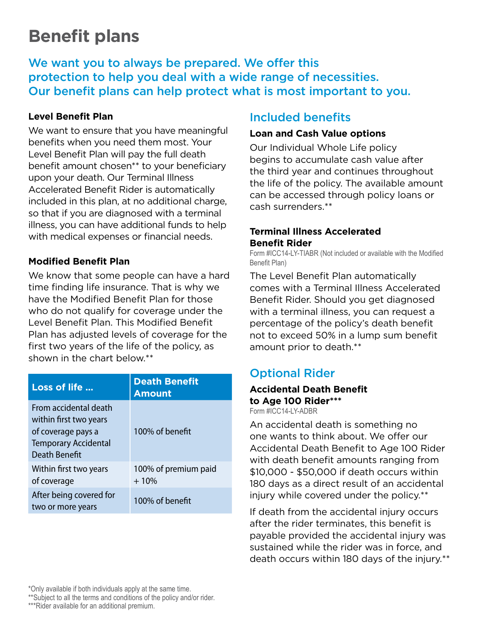## **Benefit plans**

We want you to always be prepared. We offer this protection to help you deal with a wide range of necessities. Our benefit plans can help protect what is most important to you.

#### **Level Benefit Plan**

We want to ensure that you have meaningful benefits when you need them most. Your Level Benefit Plan will pay the full death benefit amount chosen\*\* to your beneficiary upon your death. Our Terminal Illness Accelerated Benefit Rider is automatically included in this plan, at no additional charge, so that if you are diagnosed with a terminal illness, you can have additional funds to help with medical expenses or financial needs.

#### **Modified Benefit Plan**

We know that some people can have a hard time finding life insurance. That is why we have the Modified Benefit Plan for those who do not qualify for coverage under the Level Benefit Plan. This Modified Benefit Plan has adjusted levels of coverage for the first two years of the life of the policy, as shown in the chart below.\*\*

| Loss of life                                                                                                                 | <b>Death Benefit</b><br><b>Amount</b> |
|------------------------------------------------------------------------------------------------------------------------------|---------------------------------------|
| From accidental death<br>within first two years<br>of coverage pays a<br><b>Temporary Accidental</b><br><b>Death Benefit</b> | 100% of benefit                       |
| Within first two years<br>of coverage                                                                                        | 100% of premium paid<br>$+10%$        |
| After being covered for<br>two or more years                                                                                 | 100% of benefit                       |

### Included benefits

#### **Loan and Cash Value options**

Our Individual Whole Life policy begins to accumulate cash value after the third year and continues throughout the life of the policy. The available amount can be accessed through policy loans or cash surrenders.\*\*

#### **Terminal Illness Accelerated Benefit Rider**

Form #ICC14-LY-TIABR (Not included or available with the Modified Benefit Plan)

The Level Benefit Plan automatically comes with a Terminal Illness Accelerated Benefit Rider. Should you get diagnosed with a terminal illness, you can request a percentage of the policy's death benefit not to exceed 50% in a lump sum benefit amount prior to death.\*\*

### Optional Rider

#### **Accidental Death Benefit to Age 100 Rider\*\*\***

Form #ICC14-LY-ADBR

An accidental death is something no one wants to think about. We offer our Accidental Death Benefit to Age 100 Rider with death benefit amounts ranging from \$10,000 - \$50,000 if death occurs within 180 days as a direct result of an accidental injury while covered under the policy.\*\*

If death from the accidental injury occurs after the rider terminates, this benefit is payable provided the accidental injury was sustained while the rider was in force, and death occurs within 180 days of the injury.\*\*

\*Only available if both individuals apply at the same time.

\*\*Subject to all the terms and conditions of the policy and/or rider.

\*\*\*Rider available for an additional premium.